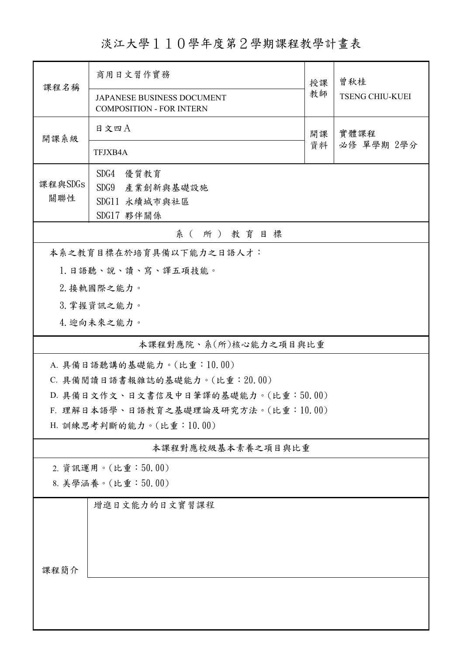淡江大學110學年度第2學期課程教學計畫表

| 商用日文習作實務                            |                                                                                                                   | 曾秋桂<br><b>TSENG CHIU-KUEI</b>                                                                       |  |  |  |  |
|-------------------------------------|-------------------------------------------------------------------------------------------------------------------|-----------------------------------------------------------------------------------------------------|--|--|--|--|
| <b>COMPOSITION - FOR INTERN</b>     |                                                                                                                   |                                                                                                     |  |  |  |  |
| 日文四A                                | 開課                                                                                                                | 實體課程<br>必修 單學期 2學分                                                                                  |  |  |  |  |
| TFJXB4A                             |                                                                                                                   |                                                                                                     |  |  |  |  |
| SDG4<br>優質教育                        |                                                                                                                   |                                                                                                     |  |  |  |  |
| SDG9 產業創新與基礎設施                      |                                                                                                                   |                                                                                                     |  |  |  |  |
| SDG11 永續城市與社區                       |                                                                                                                   |                                                                                                     |  |  |  |  |
|                                     |                                                                                                                   |                                                                                                     |  |  |  |  |
|                                     |                                                                                                                   |                                                                                                     |  |  |  |  |
| 1. 日語聽、說、讀、寫、譯五項技能。                 |                                                                                                                   |                                                                                                     |  |  |  |  |
| 2. 接軌國際之能力。                         |                                                                                                                   |                                                                                                     |  |  |  |  |
| 3. 掌握資訊之能力。                         |                                                                                                                   |                                                                                                     |  |  |  |  |
| 4. 迎向未來之能力。                         |                                                                                                                   |                                                                                                     |  |  |  |  |
|                                     |                                                                                                                   |                                                                                                     |  |  |  |  |
| A. 具備日語聽講的基礎能力。(比重:10.00)           |                                                                                                                   |                                                                                                     |  |  |  |  |
| C. 具備閱讀日語書報雜誌的基礎能力。(比重: 20.00)      |                                                                                                                   |                                                                                                     |  |  |  |  |
|                                     |                                                                                                                   |                                                                                                     |  |  |  |  |
| F. 理解日本語學、日語教育之基礎理論及研究方法。(比重:10.00) |                                                                                                                   |                                                                                                     |  |  |  |  |
|                                     |                                                                                                                   |                                                                                                     |  |  |  |  |
|                                     |                                                                                                                   |                                                                                                     |  |  |  |  |
| 2. 資訊運用。(比重:50.00)                  |                                                                                                                   |                                                                                                     |  |  |  |  |
| 8. 美學涵養。(比重:50.00)                  |                                                                                                                   |                                                                                                     |  |  |  |  |
| 增進日文能力的日文實習課程                       |                                                                                                                   |                                                                                                     |  |  |  |  |
|                                     |                                                                                                                   |                                                                                                     |  |  |  |  |
|                                     |                                                                                                                   |                                                                                                     |  |  |  |  |
|                                     |                                                                                                                   |                                                                                                     |  |  |  |  |
| 課程簡介                                |                                                                                                                   |                                                                                                     |  |  |  |  |
|                                     |                                                                                                                   |                                                                                                     |  |  |  |  |
|                                     |                                                                                                                   |                                                                                                     |  |  |  |  |
|                                     | <b>JAPANESE BUSINESS DOCUMENT</b><br>SDG17 夥伴關係<br>系(所)教育目標<br>本系之教育目標在於培育具備以下能力之日語人才:<br>H. 訓練思考判斷的能力。(比重:10.00) | 授課<br>教師<br>資料<br>本課程對應院、系(所)核心能力之項目與比重<br>D. 具備日文作文、日文書信及中日筆譯的基礎能力。(比重:50.00)<br>本課程對應校級基本素養之項目與比重 |  |  |  |  |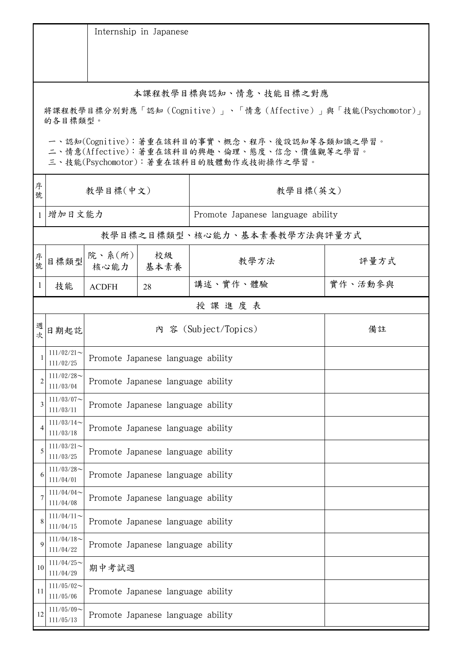|                                                                                                                                        |                                                                         |                                   | Internship in Japanese            |                                   |         |  |  |
|----------------------------------------------------------------------------------------------------------------------------------------|-------------------------------------------------------------------------|-----------------------------------|-----------------------------------|-----------------------------------|---------|--|--|
|                                                                                                                                        |                                                                         |                                   |                                   |                                   |         |  |  |
|                                                                                                                                        | 本課程教學目標與認知、情意、技能目標之對應                                                   |                                   |                                   |                                   |         |  |  |
|                                                                                                                                        | 將課程教學目標分別對應「認知(Cognitive)」、「情意(Affective)」與「技能(Psychomotor)」<br>的各目標類型。 |                                   |                                   |                                   |         |  |  |
| 一、認知(Cognitive):著重在該科目的事實、概念、程序、後設認知等各類知識之學習。<br>二、情意(Affective):著重在該科目的興趣、倫理、態度、信念、價值觀等之學習。<br>三、技能(Psychomotor):著重在該科目的肢體動作或技術操作之學習。 |                                                                         |                                   |                                   |                                   |         |  |  |
| 序<br>號                                                                                                                                 | 教學目標(中文)                                                                |                                   |                                   | 教學目標(英文)                          |         |  |  |
| $\mathbf{1}$                                                                                                                           | 增加日文能力                                                                  |                                   |                                   | Promote Japanese language ability |         |  |  |
|                                                                                                                                        |                                                                         |                                   |                                   | 教學目標之目標類型、核心能力、基本素養教學方法與評量方式      |         |  |  |
| 序號                                                                                                                                     |                                                                         | <br> 目標類型   P. 系(所) <br>核心能力      | 校級<br>基本素養                        | 教學方法                              | 評量方式    |  |  |
| $\mathbf{1}$                                                                                                                           | 技能                                                                      | <b>ACDFH</b>                      | 28                                | 講述、實作、體驗                          | 實作、活動參與 |  |  |
|                                                                                                                                        | 授課進度表                                                                   |                                   |                                   |                                   |         |  |  |
| 週次                                                                                                                                     | 日期起訖                                                                    |                                   |                                   | 內 容 (Subject/Topics)              | 備註      |  |  |
|                                                                                                                                        | $111/02/21$ ~<br>111/02/25                                              |                                   | Promote Japanese language ability |                                   |         |  |  |
| $\overline{c}$                                                                                                                         | $111/02/28$ ~<br>111/03/04                                              | Promote Japanese language ability |                                   |                                   |         |  |  |
| 3                                                                                                                                      | $111/03/07$ ~<br>111/03/11                                              | Promote Japanese language ability |                                   |                                   |         |  |  |
| 4                                                                                                                                      | $111/03/14$ ~<br>111/03/18                                              | Promote Japanese language ability |                                   |                                   |         |  |  |
| 5                                                                                                                                      | $111/03/21$ ~<br>111/03/25                                              | Promote Japanese language ability |                                   |                                   |         |  |  |
| 6                                                                                                                                      | $111/03/28$ ~<br>111/04/01                                              | Promote Japanese language ability |                                   |                                   |         |  |  |
|                                                                                                                                        | $111/04/04$ ~<br>111/04/08                                              |                                   | Promote Japanese language ability |                                   |         |  |  |
| 8                                                                                                                                      | $111/04/11$ ~<br>111/04/15                                              |                                   | Promote Japanese language ability |                                   |         |  |  |
| 9                                                                                                                                      | $111/04/18$ ~<br>111/04/22                                              |                                   | Promote Japanese language ability |                                   |         |  |  |
| 10                                                                                                                                     | $111/04/25$ ~<br>111/04/29                                              | 期中考試週                             |                                   |                                   |         |  |  |
| 11                                                                                                                                     | $111/05/02$ ~<br>111/05/06                                              | Promote Japanese language ability |                                   |                                   |         |  |  |
| 12                                                                                                                                     | $111/05/09$ ~<br>111/05/13                                              |                                   | Promote Japanese language ability |                                   |         |  |  |